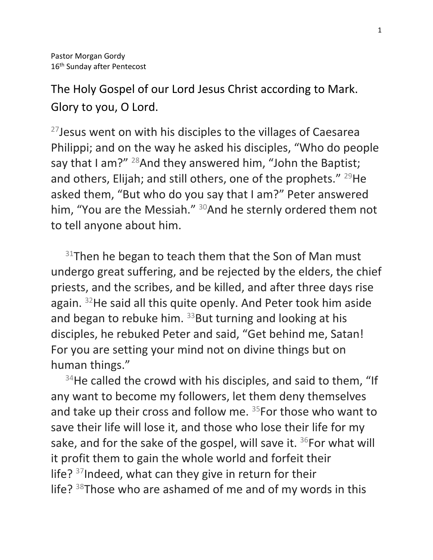The Holy Gospel of our Lord Jesus Christ according to Mark. Glory to you, O Lord.

 $27$ Jesus went on with his disciples to the villages of Caesarea Philippi; and on the way he asked his disciples, "Who do people say that I am?"  $^{28}$ And they answered him, "John the Baptist; and others, Elijah; and still others, one of the prophets."  $^{29}$ He asked them, "But who do you say that I am?" Peter answered him, "You are the Messiah." <sup>30</sup>And he sternly ordered them not to tell anyone about him.

 $31$ Then he began to teach them that the Son of Man must undergo great suffering, and be rejected by the elders, the chief priests, and the scribes, and be killed, and after three days rise again. <sup>32</sup>He said all this quite openly. And Peter took him aside and began to rebuke him.  $33$ But turning and looking at his disciples, he rebuked Peter and said, "Get behind me, Satan! For you are setting your mind not on divine things but on human things."

 $34$ He called the crowd with his disciples, and said to them, "If any want to become my followers, let them deny themselves and take up their cross and follow me. <sup>35</sup>For those who want to save their life will lose it, and those who lose their life for my sake, and for the sake of the gospel, will save it.  $36$  For what will it profit them to gain the whole world and forfeit their life?  $37$ Indeed, what can they give in return for their life?  $38$ Those who are ashamed of me and of my words in this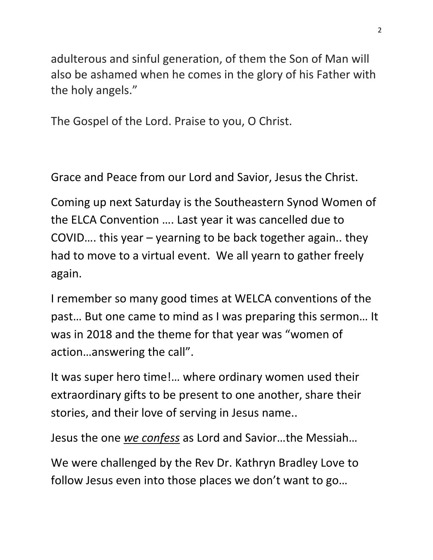adulterous and sinful generation, of them the Son of Man will also be ashamed when he comes in the glory of his Father with the holy angels."

The Gospel of the Lord. Praise to you, O Christ.

Grace and Peace from our Lord and Savior, Jesus the Christ.

Coming up next Saturday is the Southeastern Synod Women of the ELCA Convention …. Last year it was cancelled due to COVID…. this year – yearning to be back together again.. they had to move to a virtual event. We all yearn to gather freely again.

I remember so many good times at WELCA conventions of the past… But one came to mind as I was preparing this sermon… It was in 2018 and the theme for that year was "women of action…answering the call".

It was super hero time!… where ordinary women used their extraordinary gifts to be present to one another, share their stories, and their love of serving in Jesus name..

Jesus the one *we confess* as Lord and Savior…the Messiah…

We were challenged by the Rev Dr. Kathryn Bradley Love to follow Jesus even into those places we don't want to go…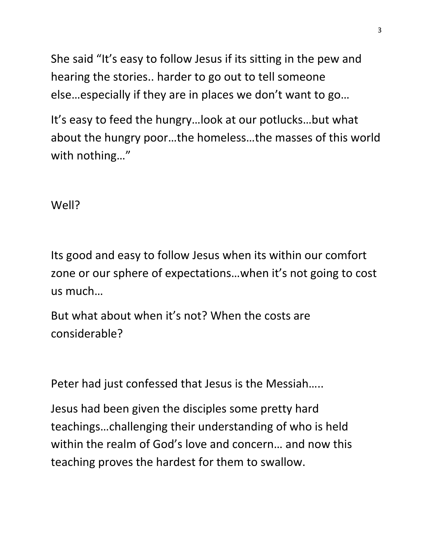She said "It's easy to follow Jesus if its sitting in the pew and hearing the stories.. harder to go out to tell someone else…especially if they are in places we don't want to go…

It's easy to feed the hungry…look at our potlucks…but what about the hungry poor…the homeless…the masses of this world with nothing…"

Well?

Its good and easy to follow Jesus when its within our comfort zone or our sphere of expectations…when it's not going to cost us much…

But what about when it's not? When the costs are considerable?

Peter had just confessed that Jesus is the Messiah…..

Jesus had been given the disciples some pretty hard teachings…challenging their understanding of who is held within the realm of God's love and concern… and now this teaching proves the hardest for them to swallow.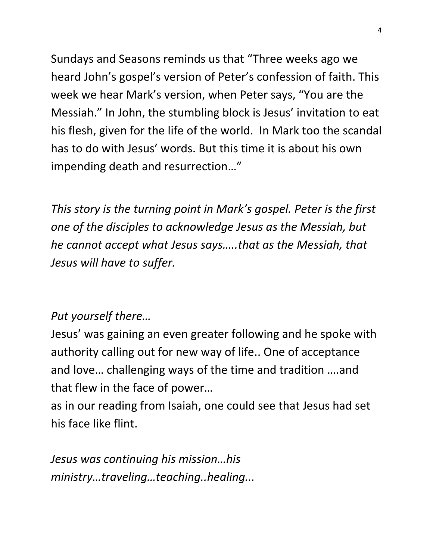Sundays and Seasons reminds us that "Three weeks ago we heard John's gospel's version of Peter's confession of faith. This week we hear Mark's version, when Peter says, "You are the Messiah." In John, the stumbling block is Jesus' invitation to eat his flesh, given for the life of the world. In Mark too the scandal has to do with Jesus' words. But this time it is about his own impending death and resurrection…"

*This story is the turning point in Mark's gospel. Peter is the first one of the disciples to acknowledge Jesus as the Messiah, but he cannot accept what Jesus says…..that as the Messiah, that Jesus will have to suffer.*

## *Put yourself there…*

Jesus' was gaining an even greater following and he spoke with authority calling out for new way of life.. One of acceptance and love… challenging ways of the time and tradition ….and that flew in the face of power…

as in our reading from Isaiah, one could see that Jesus had set his face like flint.

*Jesus was continuing his mission…his ministry…traveling…teaching..healing...*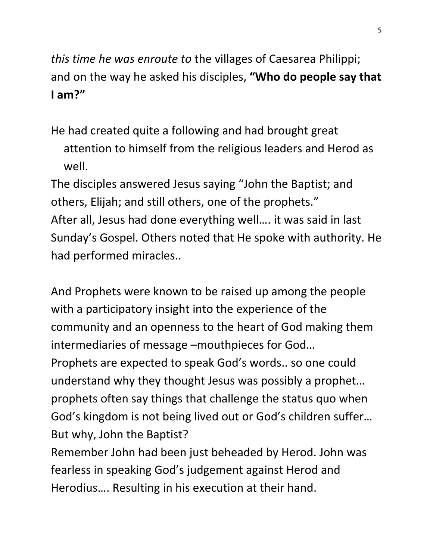*this time he was enroute to* the villages of Caesarea Philippi; and on the way he asked his disciples, **"Who do people say that I am?"** 

He had created quite a following and had brought great attention to himself from the religious leaders and Herod as well.

The disciples answered Jesus saying "John the Baptist; and others, Elijah; and still others, one of the prophets." After all, Jesus had done everything well…. it was said in last Sunday's Gospel. Others noted that He spoke with authority. He had performed miracles..

And Prophets were known to be raised up among the people with a participatory insight into the experience of the community and an openness to the heart of God making them intermediaries of message –mouthpieces for God…

Prophets are expected to speak God's words.. so one could understand why they thought Jesus was possibly a prophet… prophets often say things that challenge the status quo when God's kingdom is not being lived out or God's children suffer… But why, John the Baptist?

Remember John had been just beheaded by Herod. John was fearless in speaking God's judgement against Herod and Herodius…. Resulting in his execution at their hand.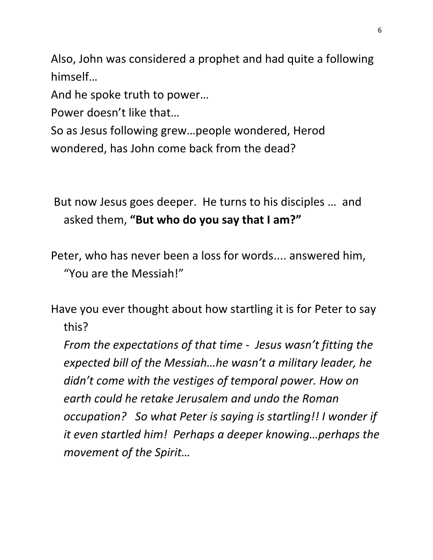Also, John was considered a prophet and had quite a following himself…

And he spoke truth to power…

Power doesn't like that…

So as Jesus following grew…people wondered, Herod wondered, has John come back from the dead?

But now Jesus goes deeper. He turns to his disciples … and asked them, **"But who do you say that I am?"**

Peter, who has never been a loss for words.... answered him, "You are the Messiah!"

Have you ever thought about how startling it is for Peter to say this?

*From the expectations of that time - Jesus wasn't fitting the expected bill of the Messiah…he wasn't a military leader, he didn't come with the vestiges of temporal power. How on earth could he retake Jerusalem and undo the Roman occupation? So what Peter is saying is startling!! I wonder if it even startled him! Perhaps a deeper knowing…perhaps the movement of the Spirit…*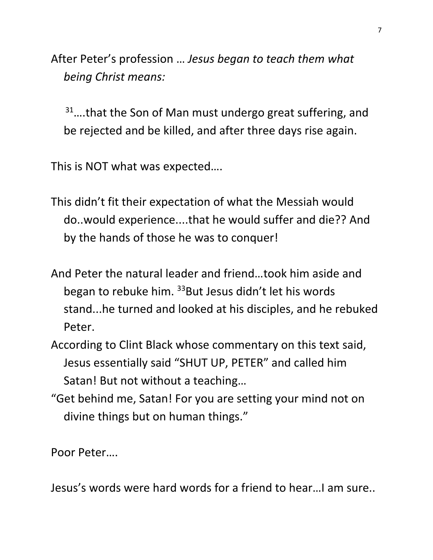After Peter's profession … *Jesus began to teach them what being Christ means:*

31....that the Son of Man must undergo great suffering, and be rejected and be killed, and after three days rise again.

This is NOT what was expected….

- This didn't fit their expectation of what the Messiah would do..would experience....that he would suffer and die?? And by the hands of those he was to conquer!
- And Peter the natural leader and friend…took him aside and began to rebuke him.  $33$ But Jesus didn't let his words stand...he turned and looked at his disciples, and he rebuked Peter.
- According to Clint Black whose commentary on this text said, Jesus essentially said "SHUT UP, PETER" and called him Satan! But not without a teaching…
- "Get behind me, Satan! For you are setting your mind not on divine things but on human things."

Poor Peter….

Jesus's words were hard words for a friend to hear…I am sure..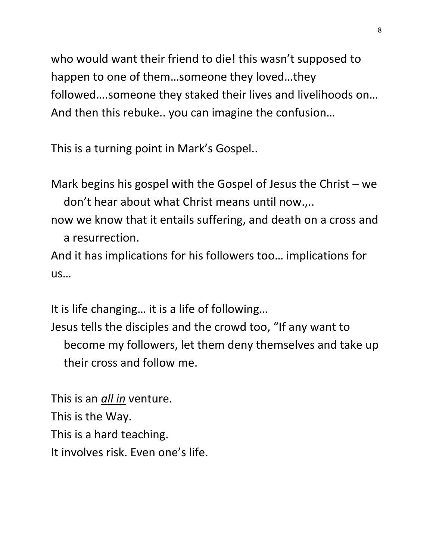who would want their friend to die! this wasn't supposed to happen to one of them…someone they loved…they followed….someone they staked their lives and livelihoods on… And then this rebuke.. you can imagine the confusion…

This is a turning point in Mark's Gospel..

Mark begins his gospel with the Gospel of Jesus the Christ – we don't hear about what Christ means until now.,..

now we know that it entails suffering, and death on a cross and a resurrection.

And it has implications for his followers too… implications for us…

It is life changing… it is a life of following…

Jesus tells the disciples and the crowd too, "If any want to become my followers, let them deny themselves and take up their cross and follow me.

This is an *all in* venture. This is the Way. This is a hard teaching. It involves risk. Even one's life.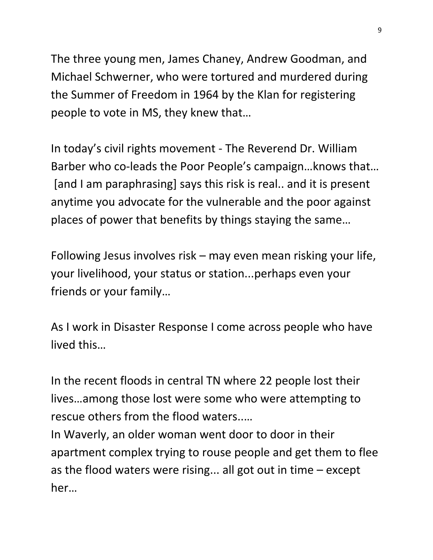The three young men, James Chaney, Andrew Goodman, and Michael Schwerner, who were tortured and murdered during the Summer of Freedom in 1964 by the Klan for registering people to vote in MS, they knew that…

In today's civil rights movement - The Reverend Dr. William Barber who co-leads the Poor People's campaign…knows that… [and I am paraphrasing] says this risk is real.. and it is present anytime you advocate for the vulnerable and the poor against places of power that benefits by things staying the same…

Following Jesus involves risk – may even mean risking your life, your livelihood, your status or station...perhaps even your friends or your family…

As I work in Disaster Response I come across people who have lived this…

In the recent floods in central TN where 22 people lost their lives…among those lost were some who were attempting to rescue others from the flood waters..…

In Waverly, an older woman went door to door in their apartment complex trying to rouse people and get them to flee as the flood waters were rising... all got out in time – except her…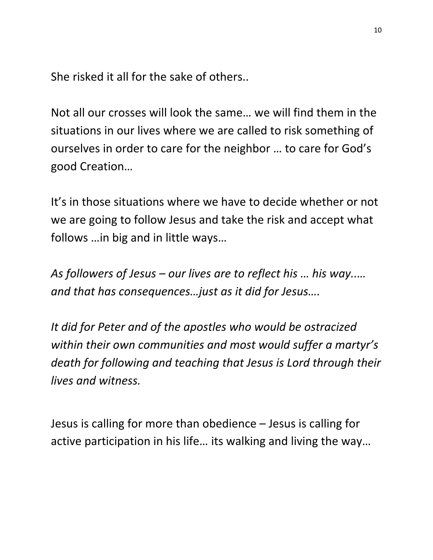She risked it all for the sake of others..

Not all our crosses will look the same… we will find them in the situations in our lives where we are called to risk something of ourselves in order to care for the neighbor … to care for God's good Creation…

It's in those situations where we have to decide whether or not we are going to follow Jesus and take the risk and accept what follows …in big and in little ways…

*As followers of Jesus – our lives are to reflect his … his way..… and that has consequences…just as it did for Jesus….*

*It did for Peter and of the apostles who would be ostracized within their own communities and most would suffer a martyr's death for following and teaching that Jesus is Lord through their lives and witness.*

Jesus is calling for more than obedience – Jesus is calling for active participation in his life… its walking and living the way…